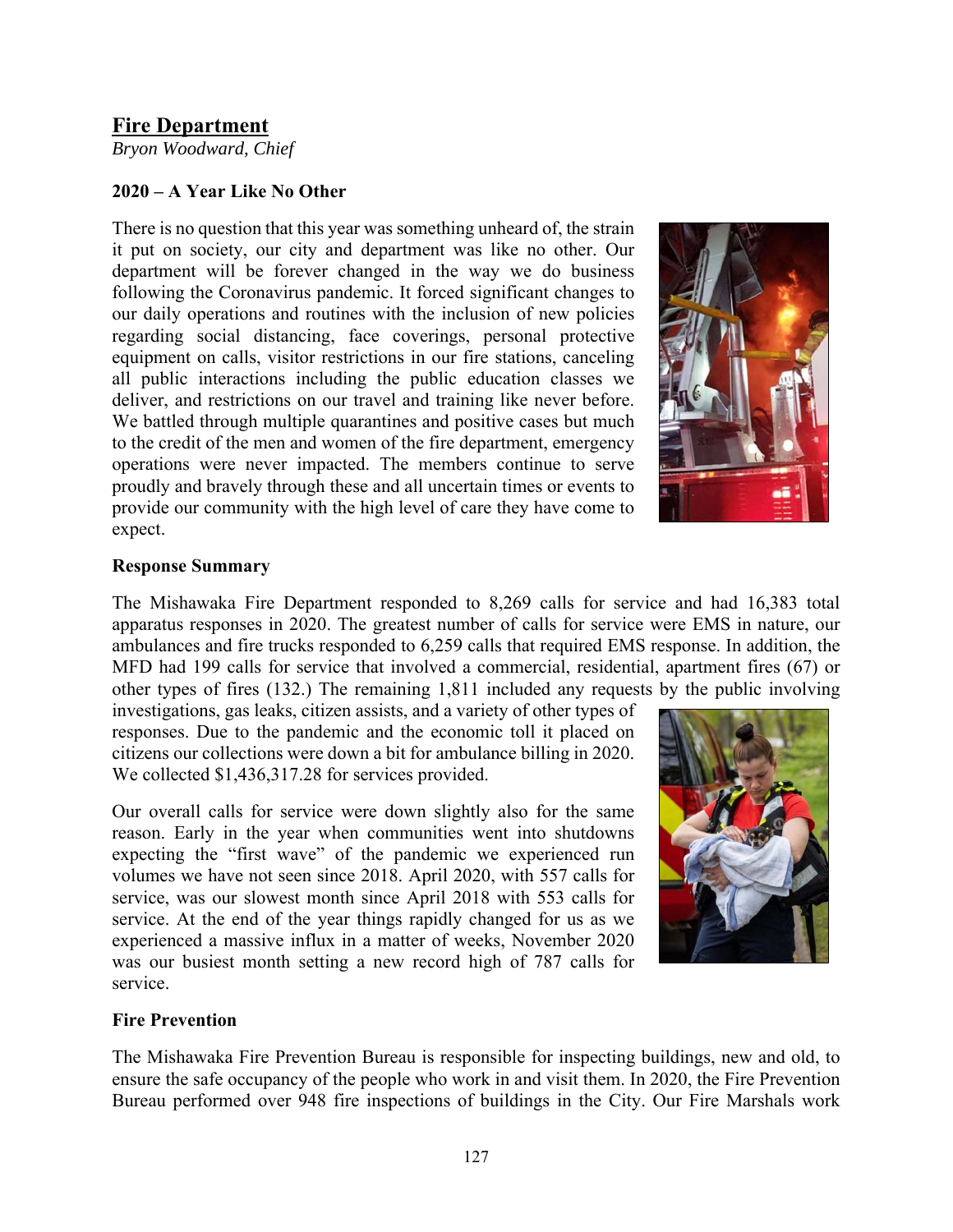# **Fire Department**

*Bryon Woodward, Chief* 

## **2020 – A Year Like No Other**

There is no question that this year was something unheard of, the strain it put on society, our city and department was like no other. Our department will be forever changed in the way we do business following the Coronavirus pandemic. It forced significant changes to our daily operations and routines with the inclusion of new policies regarding social distancing, face coverings, personal protective equipment on calls, visitor restrictions in our fire stations, canceling all public interactions including the public education classes we deliver, and restrictions on our travel and training like never before. We battled through multiple quarantines and positive cases but much to the credit of the men and women of the fire department, emergency operations were never impacted. The members continue to serve proudly and bravely through these and all uncertain times or events to provide our community with the high level of care they have come to expect.



#### **Response Summary**

The Mishawaka Fire Department responded to 8,269 calls for service and had 16,383 total apparatus responses in 2020. The greatest number of calls for service were EMS in nature, our ambulances and fire trucks responded to 6,259 calls that required EMS response. In addition, the MFD had 199 calls for service that involved a commercial, residential, apartment fires (67) or other types of fires (132.) The remaining 1,811 included any requests by the public involving

investigations, gas leaks, citizen assists, and a variety of other types of responses. Due to the pandemic and the economic toll it placed on citizens our collections were down a bit for ambulance billing in 2020. We collected \$1,436,317.28 for services provided.

Our overall calls for service were down slightly also for the same reason. Early in the year when communities went into shutdowns expecting the "first wave" of the pandemic we experienced run volumes we have not seen since 2018. April 2020, with 557 calls for service, was our slowest month since April 2018 with 553 calls for service. At the end of the year things rapidly changed for us as we experienced a massive influx in a matter of weeks, November 2020 was our busiest month setting a new record high of 787 calls for service.



#### **Fire Prevention**

The Mishawaka Fire Prevention Bureau is responsible for inspecting buildings, new and old, to ensure the safe occupancy of the people who work in and visit them. In 2020, the Fire Prevention Bureau performed over 948 fire inspections of buildings in the City. Our Fire Marshals work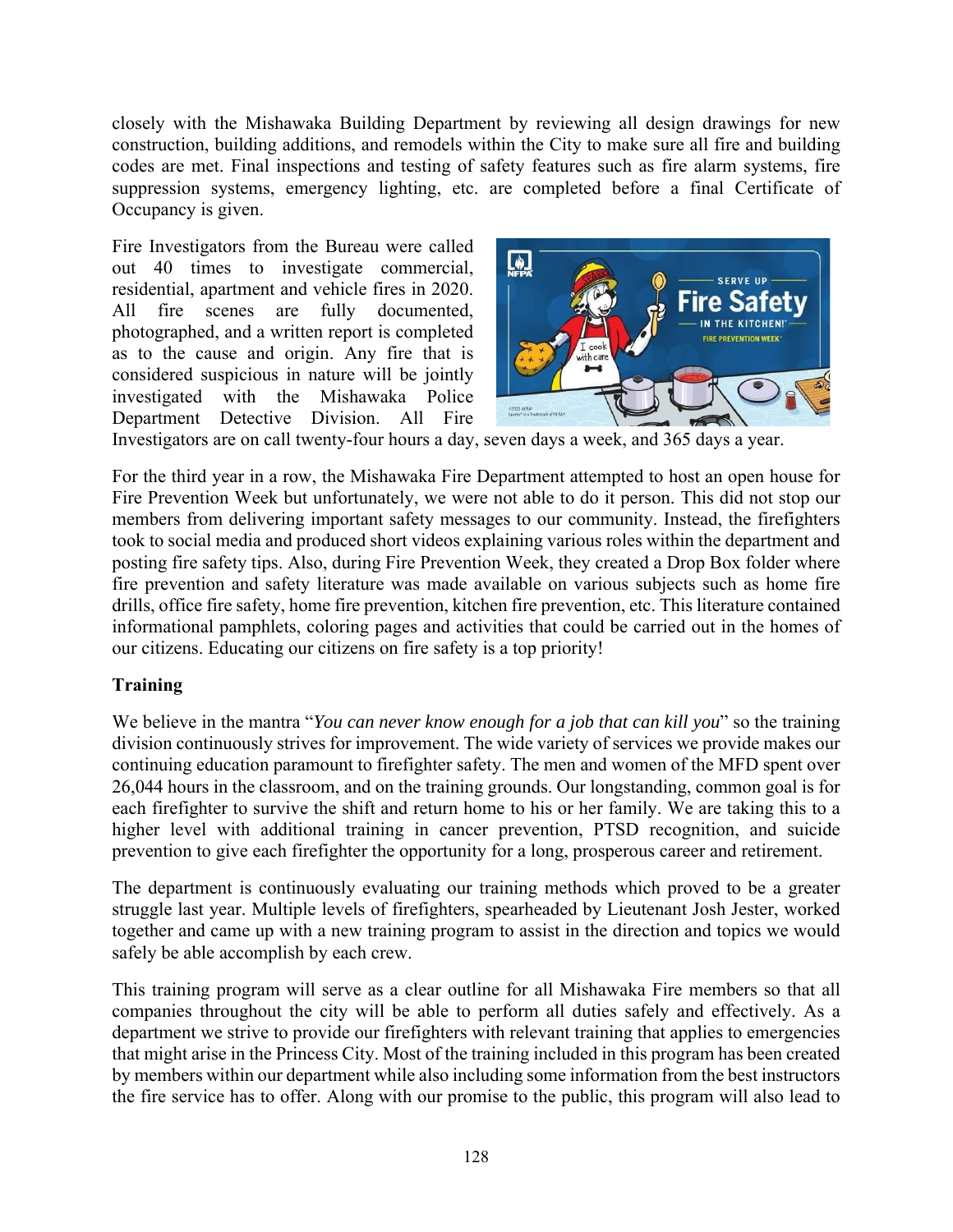closely with the Mishawaka Building Department by reviewing all design drawings for new construction, building additions, and remodels within the City to make sure all fire and building codes are met. Final inspections and testing of safety features such as fire alarm systems, fire suppression systems, emergency lighting, etc. are completed before a final Certificate of Occupancy is given.

Fire Investigators from the Bureau were called out 40 times to investigate commercial, residential, apartment and vehicle fires in 2020. All fire scenes are fully documented, photographed, and a written report is completed as to the cause and origin. Any fire that is considered suspicious in nature will be jointly investigated with the Mishawaka Police Department Detective Division. All Fire



Investigators are on call twenty-four hours a day, seven days a week, and 365 days a year.

For the third year in a row, the Mishawaka Fire Department attempted to host an open house for Fire Prevention Week but unfortunately, we were not able to do it person. This did not stop our members from delivering important safety messages to our community. Instead, the firefighters took to social media and produced short videos explaining various roles within the department and posting fire safety tips. Also, during Fire Prevention Week, they created a Drop Box folder where fire prevention and safety literature was made available on various subjects such as home fire drills, office fire safety, home fire prevention, kitchen fire prevention, etc. This literature contained informational pamphlets, coloring pages and activities that could be carried out in the homes of our citizens. Educating our citizens on fire safety is a top priority!

#### **Training**

We believe in the mantra "*You can never know enough for a job that can kill you*" so the training division continuously strives for improvement. The wide variety of services we provide makes our continuing education paramount to firefighter safety. The men and women of the MFD spent over 26,044 hours in the classroom, and on the training grounds. Our longstanding, common goal is for each firefighter to survive the shift and return home to his or her family. We are taking this to a higher level with additional training in cancer prevention, PTSD recognition, and suicide prevention to give each firefighter the opportunity for a long, prosperous career and retirement.

The department is continuously evaluating our training methods which proved to be a greater struggle last year. Multiple levels of firefighters, spearheaded by Lieutenant Josh Jester, worked together and came up with a new training program to assist in the direction and topics we would safely be able accomplish by each crew.

This training program will serve as a clear outline for all Mishawaka Fire members so that all companies throughout the city will be able to perform all duties safely and effectively. As a department we strive to provide our firefighters with relevant training that applies to emergencies that might arise in the Princess City. Most of the training included in this program has been created by members within our department while also including some information from the best instructors the fire service has to offer. Along with our promise to the public, this program will also lead to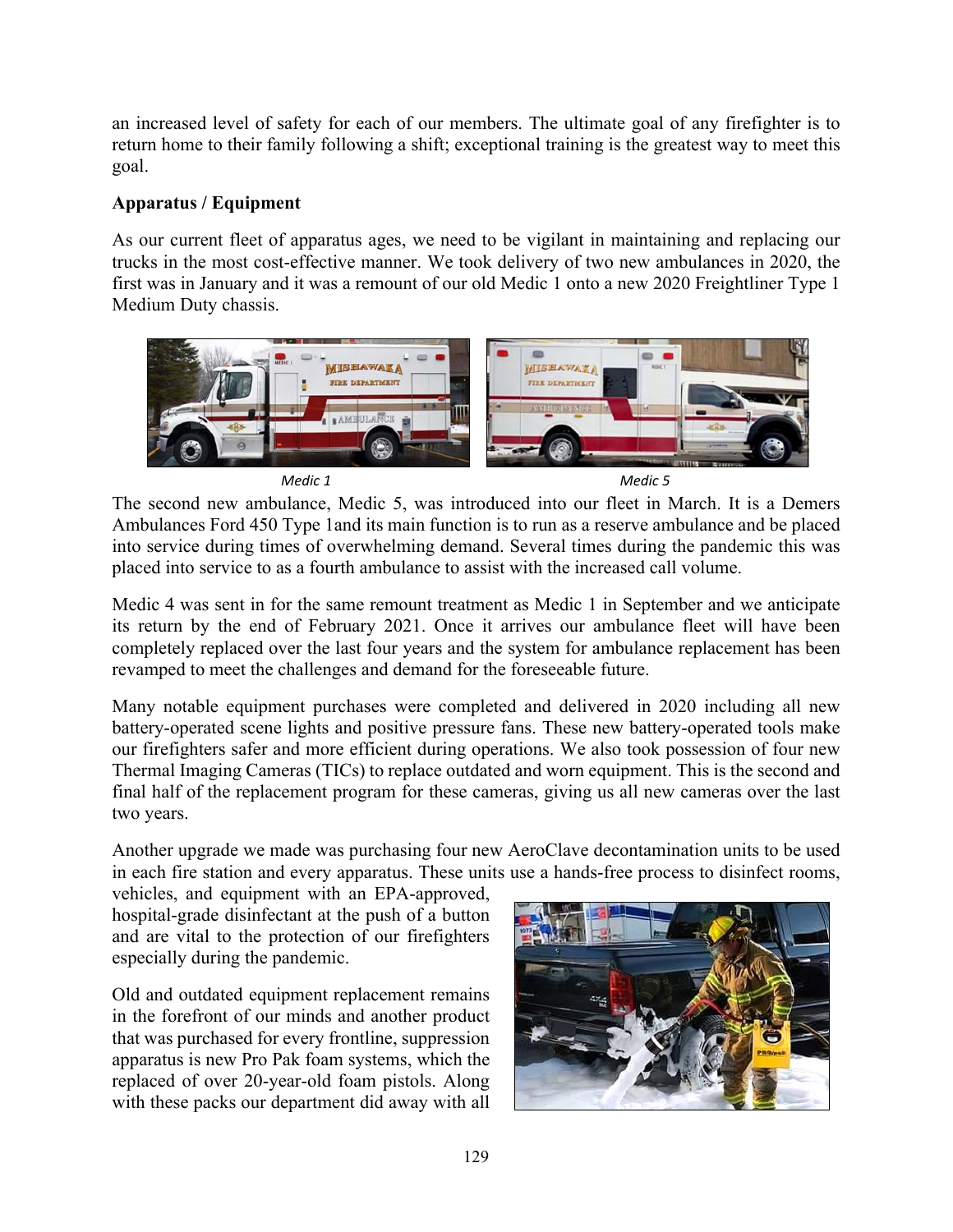an increased level of safety for each of our members. The ultimate goal of any firefighter is to return home to their family following a shift; exceptional training is the greatest way to meet this goal.

## **Apparatus / Equipment**

As our current fleet of apparatus ages, we need to be vigilant in maintaining and replacing our trucks in the most cost-effective manner. We took delivery of two new ambulances in 2020, the first was in January and it was a remount of our old Medic 1 onto a new 2020 Freightliner Type 1 Medium Duty chassis.



The second new ambulance, Medic 5, was introduced into our fleet in March. It is a Demers Ambulances Ford 450 Type 1and its main function is to run as a reserve ambulance and be placed into service during times of overwhelming demand. Several times during the pandemic this was placed into service to as a fourth ambulance to assist with the increased call volume.

Medic 4 was sent in for the same remount treatment as Medic 1 in September and we anticipate its return by the end of February 2021. Once it arrives our ambulance fleet will have been completely replaced over the last four years and the system for ambulance replacement has been revamped to meet the challenges and demand for the foreseeable future.

Many notable equipment purchases were completed and delivered in 2020 including all new battery-operated scene lights and positive pressure fans. These new battery-operated tools make our firefighters safer and more efficient during operations. We also took possession of four new Thermal Imaging Cameras (TICs) to replace outdated and worn equipment. This is the second and final half of the replacement program for these cameras, giving us all new cameras over the last two years.

Another upgrade we made was purchasing four new AeroClave decontamination units to be used in each fire station and every apparatus. These units use a hands-free process to disinfect rooms,

vehicles, and equipment with an EPA-approved, hospital-grade disinfectant at the push of a button and are vital to the protection of our firefighters especially during the pandemic.

Old and outdated equipment replacement remains in the forefront of our minds and another product that was purchased for every frontline, suppression apparatus is new Pro Pak foam systems, which the replaced of over 20-year-old foam pistols. Along with these packs our department did away with all

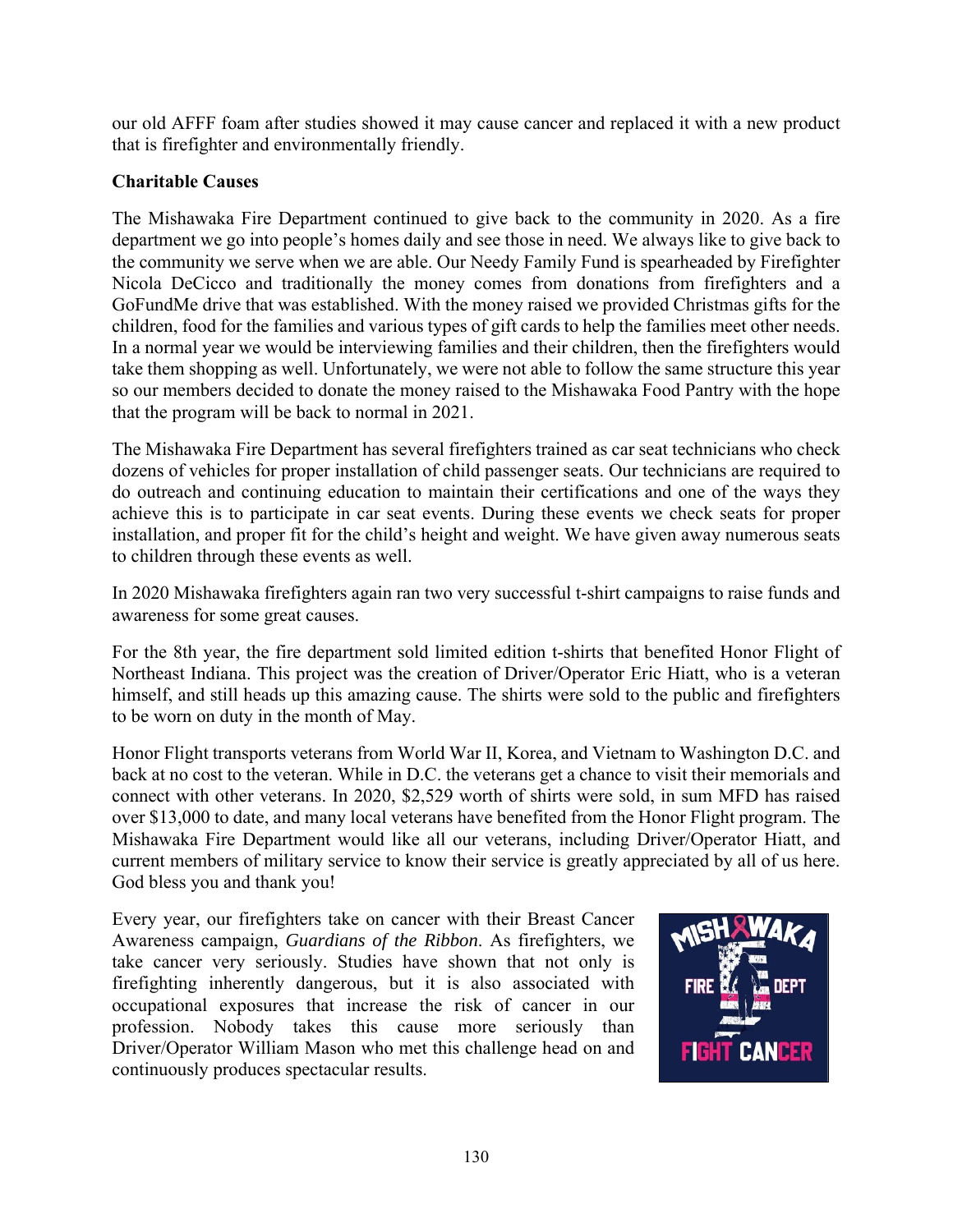our old AFFF foam after studies showed it may cause cancer and replaced it with a new product that is firefighter and environmentally friendly.

## **Charitable Causes**

The Mishawaka Fire Department continued to give back to the community in 2020. As a fire department we go into people's homes daily and see those in need. We always like to give back to the community we serve when we are able. Our Needy Family Fund is spearheaded by Firefighter Nicola DeCicco and traditionally the money comes from donations from firefighters and a GoFundMe drive that was established. With the money raised we provided Christmas gifts for the children, food for the families and various types of gift cards to help the families meet other needs. In a normal year we would be interviewing families and their children, then the firefighters would take them shopping as well. Unfortunately, we were not able to follow the same structure this year so our members decided to donate the money raised to the Mishawaka Food Pantry with the hope that the program will be back to normal in 2021.

The Mishawaka Fire Department has several firefighters trained as car seat technicians who check dozens of vehicles for proper installation of child passenger seats. Our technicians are required to do outreach and continuing education to maintain their certifications and one of the ways they achieve this is to participate in car seat events. During these events we check seats for proper installation, and proper fit for the child's height and weight. We have given away numerous seats to children through these events as well.

In 2020 Mishawaka firefighters again ran two very successful t-shirt campaigns to raise funds and awareness for some great causes.

For the 8th year, the fire department sold limited edition t-shirts that benefited Honor Flight of Northeast Indiana. This project was the creation of Driver/Operator Eric Hiatt, who is a veteran himself, and still heads up this amazing cause. The shirts were sold to the public and firefighters to be worn on duty in the month of May.

Honor Flight transports veterans from World War II, Korea, and Vietnam to Washington D.C. and back at no cost to the veteran. While in D.C. the veterans get a chance to visit their memorials and connect with other veterans. In 2020, \$2,529 worth of shirts were sold, in sum MFD has raised over \$13,000 to date, and many local veterans have benefited from the Honor Flight program. The Mishawaka Fire Department would like all our veterans, including Driver/Operator Hiatt, and current members of military service to know their service is greatly appreciated by all of us here. God bless you and thank you!

Every year, our firefighters take on cancer with their Breast Cancer Awareness campaign, *Guardians of the Ribbon*. As firefighters, we take cancer very seriously. Studies have shown that not only is firefighting inherently dangerous, but it is also associated with occupational exposures that increase the risk of cancer in our profession. Nobody takes this cause more seriously than Driver/Operator William Mason who met this challenge head on and continuously produces spectacular results.

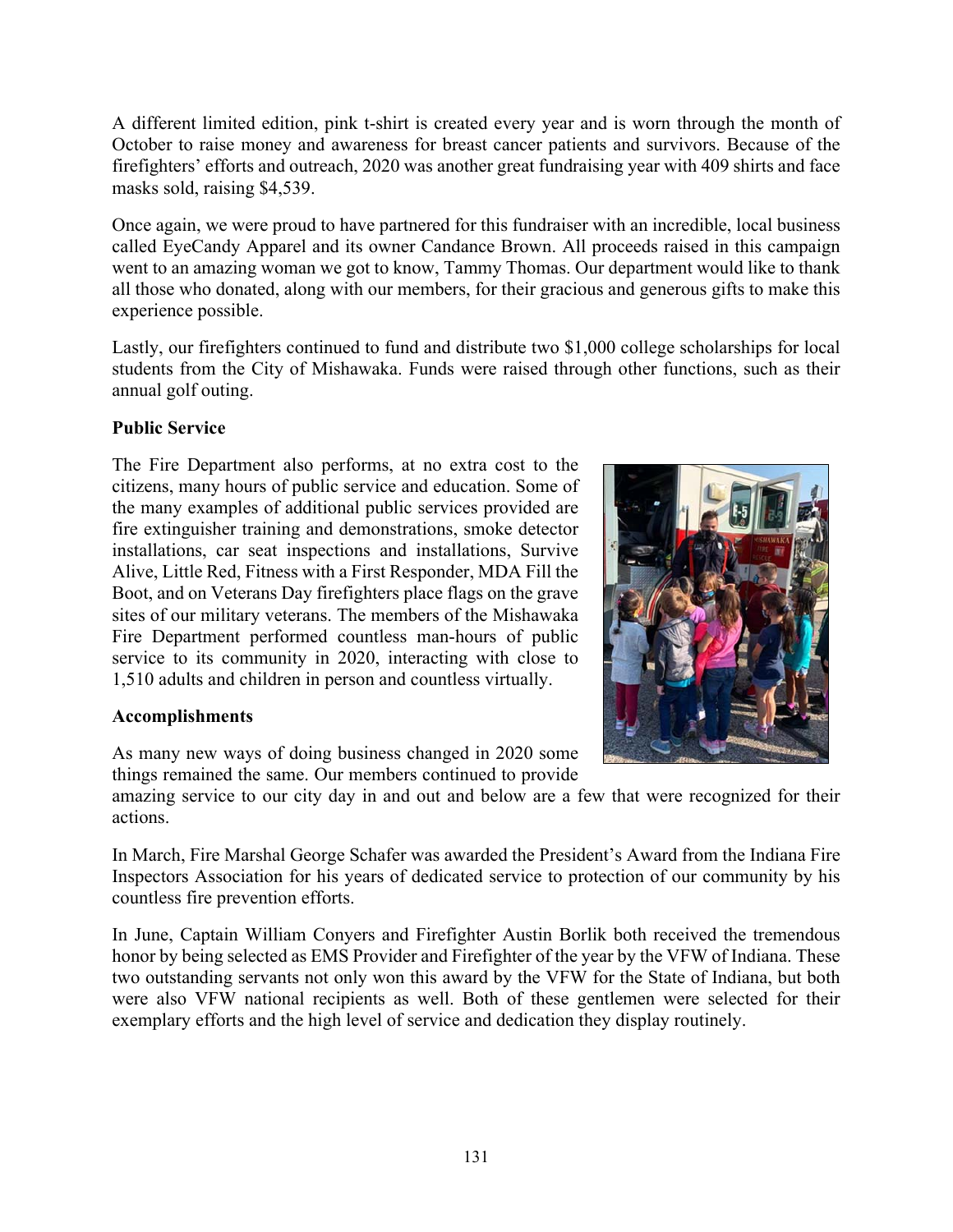A different limited edition, pink t-shirt is created every year and is worn through the month of October to raise money and awareness for breast cancer patients and survivors. Because of the firefighters' efforts and outreach, 2020 was another great fundraising year with 409 shirts and face masks sold, raising \$4,539.

Once again, we were proud to have partnered for this fundraiser with an incredible, local business called EyeCandy Apparel and its owner Candance Brown. All proceeds raised in this campaign went to an amazing woman we got to know, Tammy Thomas. Our department would like to thank all those who donated, along with our members, for their gracious and generous gifts to make this experience possible.

Lastly, our firefighters continued to fund and distribute two \$1,000 college scholarships for local students from the City of Mishawaka. Funds were raised through other functions, such as their annual golf outing.

## **Public Service**

The Fire Department also performs, at no extra cost to the citizens, many hours of public service and education. Some of the many examples of additional public services provided are fire extinguisher training and demonstrations, smoke detector installations, car seat inspections and installations, Survive Alive, Little Red, Fitness with a First Responder, MDA Fill the Boot, and on Veterans Day firefighters place flags on the grave sites of our military veterans. The members of the Mishawaka Fire Department performed countless man-hours of public service to its community in 2020, interacting with close to 1,510 adults and children in person and countless virtually.

# **Accomplishments**

As many new ways of doing business changed in 2020 some things remained the same. Our members continued to provide

amazing service to our city day in and out and below are a few that were recognized for their actions.

In March, Fire Marshal George Schafer was awarded the President's Award from the Indiana Fire Inspectors Association for his years of dedicated service to protection of our community by his countless fire prevention efforts.

In June, Captain William Conyers and Firefighter Austin Borlik both received the tremendous honor by being selected as EMS Provider and Firefighter of the year by the VFW of Indiana. These two outstanding servants not only won this award by the VFW for the State of Indiana, but both were also VFW national recipients as well. Both of these gentlemen were selected for their exemplary efforts and the high level of service and dedication they display routinely.